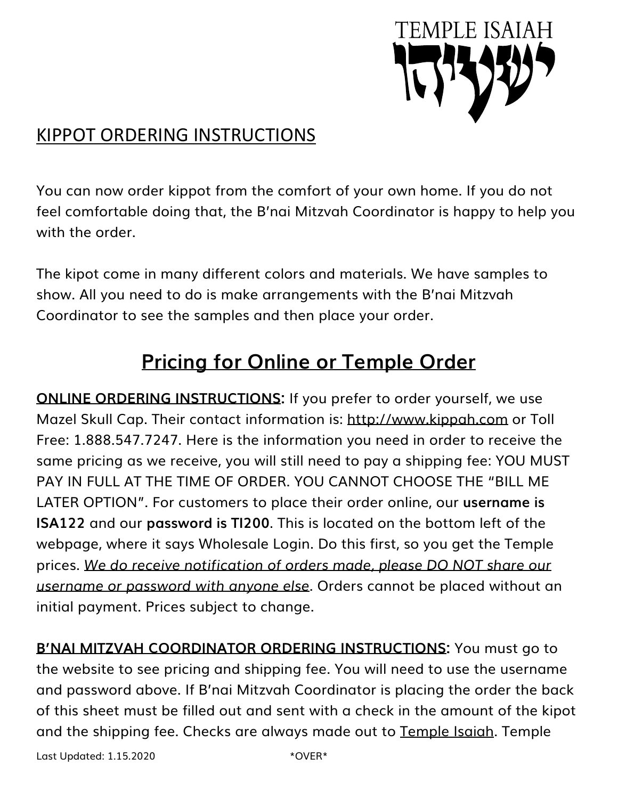

## KIPPOT ORDERING INSTRUCTIONS

You can now order kippot from the comfort of your own home. If you do not feel comfortable doing that, the B'nai Mitzvah Coordinator is happy to help you with the order.

The kipot come in many different colors and materials. We have samples to show. All you need to do is make arrangements with the B'nai Mitzvah Coordinator to see the samples and then place your order.

## **Pricing for Online or Temple Order**

**ONLINE ORDERING INSTRUCTIONS:** If you prefer to order yourself, we use Mazel Skull Cap. Their contact information is: http://www.kippah.com or Toll Free: 1.888.547.7247. Here is the information you need in order to receive the same pricing as we receive, you will still need to pay a shipping fee: YOU MUST PAY IN FULL AT THE TIME OF ORDER. YOU CANNOT CHOOSE THE "BILL ME LATER OPTION". For customers to place their order online, our **username is ISA122** and our **password is TI200**. This is located on the bottom left of the webpage, where it says Wholesale Login. Do this first, so you get the Temple prices. *We do receive notification of orders made, please DO NOT share our username or password with anyone else*. Orders cannot be placed without an initial payment. Prices subject to change.

**B'NAI MITZVAH COORDINATOR ORDERING INSTRUCTIONS:** You must go to the website to see pricing and shipping fee. You will need to use the username and password above. If B'nai Mitzvah Coordinator is placing the order the back of this sheet must be filled out and sent with a check in the amount of the kipot and the shipping fee. Checks are always made out to Temple Isaiah. Temple

Last Updated:  $1.15.2020$  \*OVER\*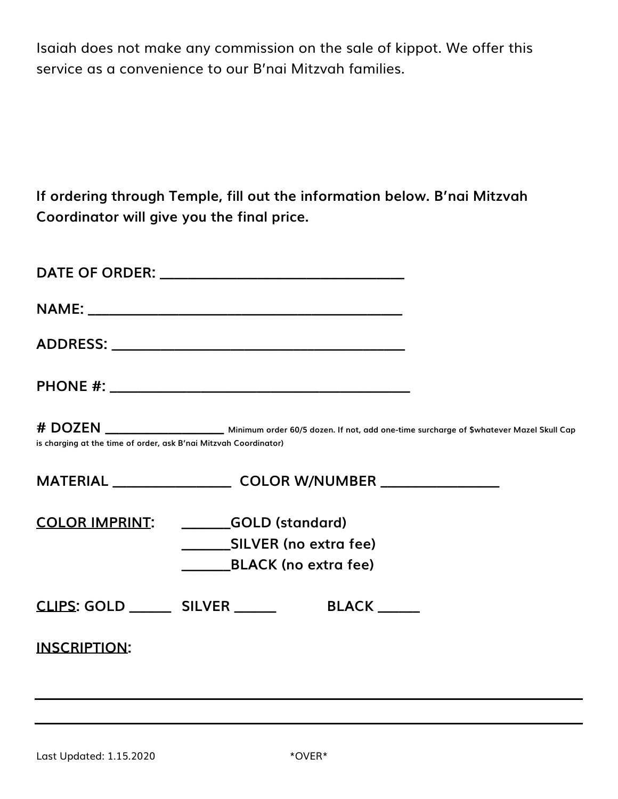Isaiah does not make any commission on the sale of kippot. We offer this service as a convenience to our B'nai Mitzvah families.

**If ordering through Temple, fill out the information below. B'nai Mitzvah Coordinator will give you the final price.**

| is charging at the time of order, ask B'nai Mitzvah Coordinator) | # DOZEN ________________________ Minimum order 60/5 dozen. If not, add one-time surcharge of \$whatever Mazel Skull Cap |  |
|------------------------------------------------------------------|-------------------------------------------------------------------------------------------------------------------------|--|
|                                                                  | MATERIAL ____________________________ COLOR W/NUMBER ___________________________                                        |  |
|                                                                  | COLOR IMPRINT: GOLD (standard)                                                                                          |  |
|                                                                  | _________SILVER (no extra fee)                                                                                          |  |
|                                                                  | BLACK (no extra fee)                                                                                                    |  |
|                                                                  | <u>CLIPS</u> : GOLD ________ SILVER _______<br><b>BLACK</b>                                                             |  |
| <b>INSCRIPTION:</b>                                              |                                                                                                                         |  |
|                                                                  |                                                                                                                         |  |